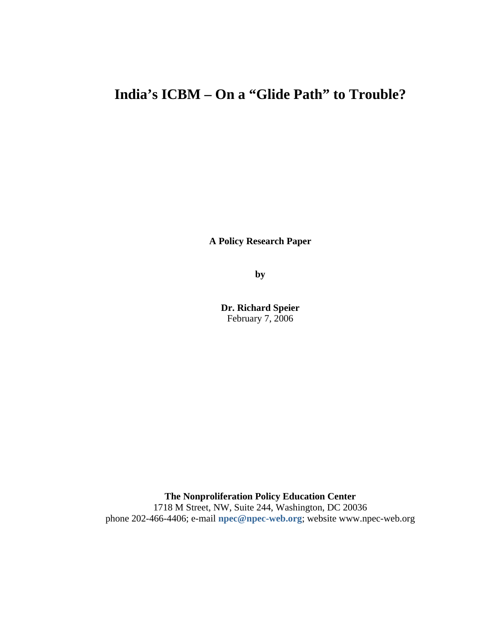# **India's ICBM – On a "Glide Path" to Trouble?**

**A Policy Research Paper**

**by**

**Dr. Richard Speier** February 7, 2006

**The Nonproliferation Policy Education Center** 1718 M Street, NW, Suite 244, Washington, DC 20036 phone 202-466-4406; e-mail **npec@npec-web.org**; website www.npec-web.org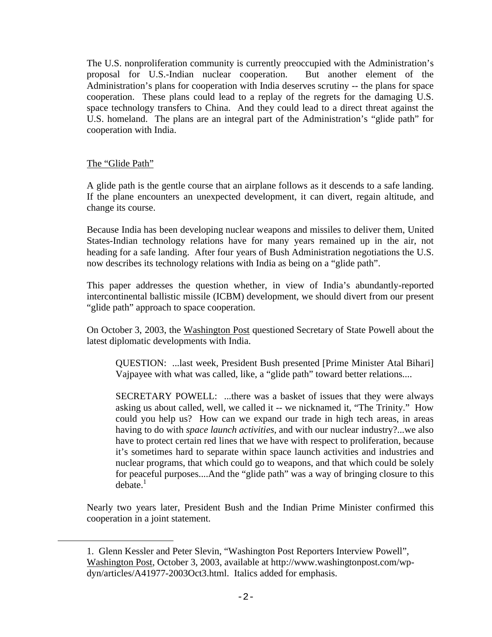The U.S. nonproliferation community is currently preoccupied with the Administration's proposal for U.S.-Indian nuclear cooperation. But another element of the Administration's plans for cooperation with India deserves scrutiny -- the plans for space cooperation. These plans could lead to a replay of the regrets for the damaging U.S. space technology transfers to China. And they could lead to a direct threat against the U.S. homeland. The plans are an integral part of the Administration's "glide path" for cooperation with India.

# The "Glide Path"

i<br>Li

A glide path is the gentle course that an airplane follows as it descends to a safe landing. If the plane encounters an unexpected development, it can divert, regain altitude, and change its course.

Because India has been developing nuclear weapons and missiles to deliver them, United States-Indian technology relations have for many years remained up in the air, not heading for a safe landing. After four years of Bush Administration negotiations the U.S. now describes its technology relations with India as being on a "glide path".

This paper addresses the question whether, in view of India's abundantly-reported intercontinental ballistic missile (ICBM) development, we should divert from our present "glide path" approach to space cooperation.

On October 3, 2003, the Washington Post questioned Secretary of State Powell about the latest diplomatic developments with India.

QUESTION: ...last week, President Bush presented [Prime Minister Atal Bihari] Vajpayee with what was called, like, a "glide path" toward better relations....

SECRETARY POWELL: ...there was a basket of issues that they were always asking us about called, well, we called it -- we nicknamed it, "The Trinity." How could you help us? How can we expand our trade in high tech areas, in areas having to do with *space launch activities*, and with our nuclear industry?...we also have to protect certain red lines that we have with respect to proliferation, because it's sometimes hard to separate within space launch activities and industries and nuclear programs, that which could go to weapons, and that which could be solely for peaceful purposes....And the "glide path" was a way of bringing closure to this  $debate.<sup>1</sup>$ 

Nearly two years later, President Bush and the Indian Prime Minister confirmed this cooperation in a joint statement.

<sup>1.</sup> Glenn Kessler and Peter Slevin, "Washington Post Reporters Interview Powell", Washington Post, October 3, 2003, available at http://www.washingtonpost.com/wpdyn/articles/A41977-2003Oct3.html. Italics added for emphasis.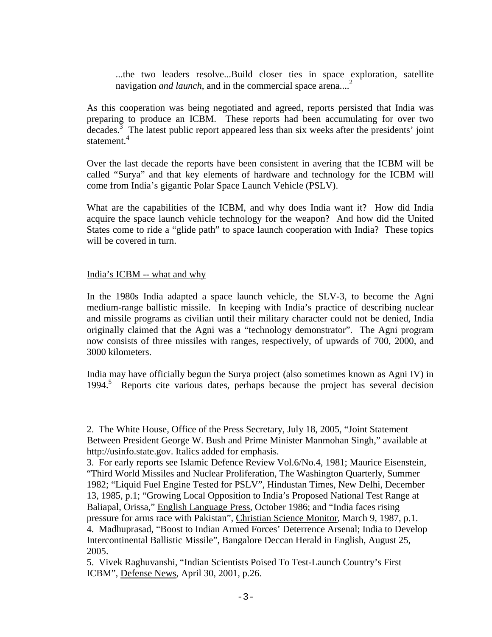...the two leaders resolve...Build closer ties in space exploration, satellite navigation *and launch*, and in the commercial space arena...<sup>2</sup>

As this cooperation was being negotiated and agreed, reports persisted that India was preparing to produce an ICBM. These reports had been accumulating for over two  $\frac{1}{2}$  decades.<sup>3</sup> The latest public report appeared less than six weeks after the presidents' joint statement $4$ 

Over the last decade the reports have been consistent in avering that the ICBM will be called "Surya" and that key elements of hardware and technology for the ICBM will come from India's gigantic Polar Space Launch Vehicle (PSLV).

What are the capabilities of the ICBM, and why does India want it? How did India acquire the space launch vehicle technology for the weapon? And how did the United States come to ride a "glide path" to space launch cooperation with India? These topics will be covered in turn.

# India's ICBM -- what and why

i

In the 1980s India adapted a space launch vehicle, the SLV-3, to become the Agni medium-range ballistic missile. In keeping with India's practice of describing nuclear and missile programs as civilian until their military character could not be denied, India originally claimed that the Agni was a "technology demonstrator". The Agni program now consists of three missiles with ranges, respectively, of upwards of 700, 2000, and 3000 kilometers.

India may have officially begun the Surya project (also sometimes known as Agni IV) in 1994.5 Reports cite various dates, perhaps because the project has several decision

<sup>2.</sup> The White House, Office of the Press Secretary, July 18, 2005, "Joint Statement Between President George W. Bush and Prime Minister Manmohan Singh," available at http://usinfo.state.gov. Italics added for emphasis.

<sup>3.</sup> For early reports see Islamic Defence Review Vol.6/No.4, 1981; Maurice Eisenstein, "Third World Missiles and Nuclear Proliferation, The Washington Quarterly, Summer 1982; "Liquid Fuel Engine Tested for PSLV", Hindustan Times, New Delhi, December 13, 1985, p.1; "Growing Local Opposition to India's Proposed National Test Range at Baliapal, Orissa," English Language Press, October 1986; and "India faces rising pressure for arms race with Pakistan", Christian Science Monitor, March 9, 1987, p.1. 4. Madhuprasad, "Boost to Indian Armed Forces' Deterrence Arsenal; India to Develop Intercontinental Ballistic Missile", Bangalore Deccan Herald in English, August 25, 2005.

<sup>5.</sup> Vivek Raghuvanshi, "Indian Scientists Poised To Test-Launch Country's First ICBM", Defense News, April 30, 2001, p.26.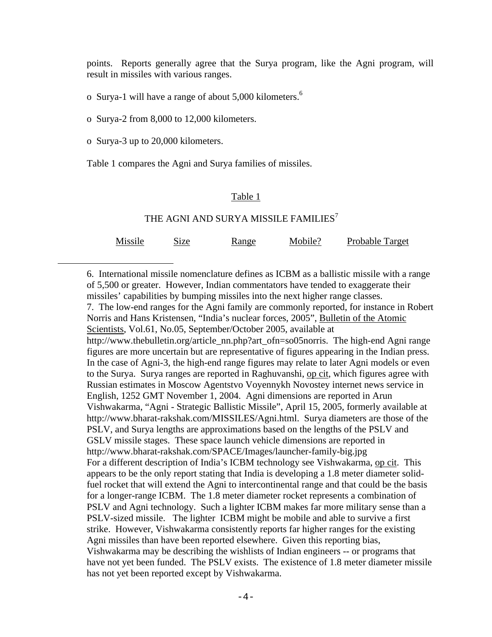points. Reports generally agree that the Surya program, like the Agni program, will result in missiles with various ranges.

o Surya-1 will have a range of about 5,000 kilometers.<sup>6</sup>

o Surya-2 from 8,000 to 12,000 kilometers.

o Surya-3 up to 20,000 kilometers.

i<br>Li

Table 1 compares the Agni and Surya families of missiles.

## Table 1

## THE AGNI AND SURYA MISSILE FAMILIES<sup>7</sup>

| Missile | Size | Range | Mobile? | Probable Target |
|---------|------|-------|---------|-----------------|
|         |      |       |         |                 |

6. International missile nomenclature defines as ICBM as a ballistic missile with a range of 5,500 or greater. However, Indian commentators have tended to exaggerate their missiles' capabilities by bumping missiles into the next higher range classes. 7. The low-end ranges for the Agni family are commonly reported, for instance in Robert Norris and Hans Kristensen, "India's nuclear forces, 2005", Bulletin of the Atomic Scientists, Vol.61, No.05, September/October 2005, available at http://www.thebulletin.org/article\_nn.php?art\_ofn=so05norris. The high-end Agni range figures are more uncertain but are representative of figures appearing in the Indian press. In the case of Agni-3, the high-end range figures may relate to later Agni models or even to the Surya. Surya ranges are reported in Raghuvanshi, op cit, which figures agree with Russian estimates in Moscow Agentstvo Voyennykh Novostey internet news service in English, 1252 GMT November 1, 2004. Agni dimensions are reported in Arun Vishwakarma, "Agni - Strategic Ballistic Missile", April 15, 2005, formerly available at http://www.bharat-rakshak.com/MISSILES/Agni.html. Surya diameters are those of the PSLV, and Surya lengths are approximations based on the lengths of the PSLV and GSLV missile stages. These space launch vehicle dimensions are reported in http://www.bharat-rakshak.com/SPACE/Images/launcher-family-big.jpg For a different description of India's ICBM technology see Vishwakarma, op cit. This appears to be the only report stating that India is developing a 1.8 meter diameter solidfuel rocket that will extend the Agni to intercontinental range and that could be the basis for a longer-range ICBM. The 1.8 meter diameter rocket represents a combination of PSLV and Agni technology. Such a lighter ICBM makes far more military sense than a PSLV-sized missile. The lighter ICBM might be mobile and able to survive a first strike. However, Vishwakarma consistently reports far higher ranges for the existing Agni missiles than have been reported elsewhere. Given this reporting bias, Vishwakarma may be describing the wishlists of Indian engineers -- or programs that have not yet been funded. The PSLV exists. The existence of 1.8 meter diameter missile has not yet been reported except by Vishwakarma.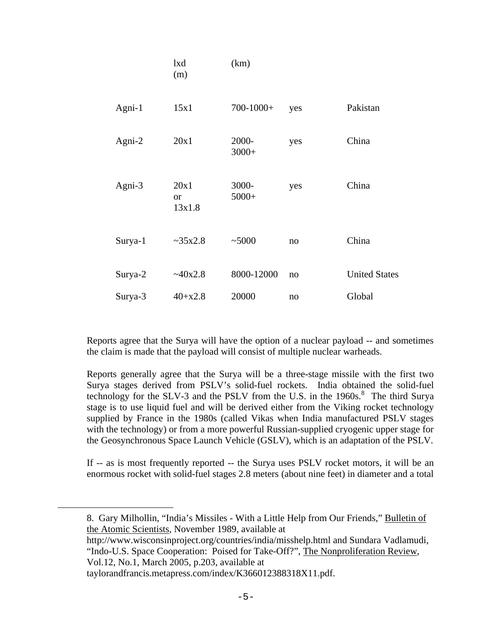|         | lxd<br>(m)                 | (km)             |     |                      |
|---------|----------------------------|------------------|-----|----------------------|
| Agni-1  | 15x1                       | $700 - 1000 +$   | yes | Pakistan             |
| Agni-2  | 20x1                       | 2000-<br>$3000+$ | yes | China                |
| Agni-3  | 20x1<br>$\alpha$<br>13x1.8 | 3000-<br>$5000+$ | yes | China                |
| Surya-1 | ~235x2.8                   | ~1000            | no  | China                |
| Surya-2 | ~40x2.8                    | 8000-12000       | no  | <b>United States</b> |
| Surya-3 | $40+x2.8$                  | 20000            | no  | Global               |

Reports agree that the Surya will have the option of a nuclear payload -- and sometimes the claim is made that the payload will consist of multiple nuclear warheads.

Reports generally agree that the Surya will be a three-stage missile with the first two Surya stages derived from PSLV's solid-fuel rockets. India obtained the solid-fuel technology for the SLV-3 and the PSLV from the U.S. in the  $1960s$ .<sup>8</sup> The third Surya stage is to use liquid fuel and will be derived either from the Viking rocket technology supplied by France in the 1980s (called Vikas when India manufactured PSLV stages with the technology) or from a more powerful Russian-supplied cryogenic upper stage for the Geosynchronous Space Launch Vehicle (GSLV), which is an adaptation of the PSLV.

If -- as is most frequently reported -- the Surya uses PSLV rocket motors, it will be an enormous rocket with solid-fuel stages 2.8 meters (about nine feet) in diameter and a total

<sup>8.</sup> Gary Milhollin, "India's Missiles - With a Little Help from Our Friends," Bulletin of the Atomic Scientists, November 1989, available at

http://www.wisconsinproject.org/countries/india/misshelp.html and Sundara Vadlamudi, "Indo-U.S. Space Cooperation: Poised for Take-Off?", The Nonproliferation Review, Vol.12, No.1, March 2005, p.203, available at

taylorandfrancis.metapress.com/index/K366012388318X11.pdf.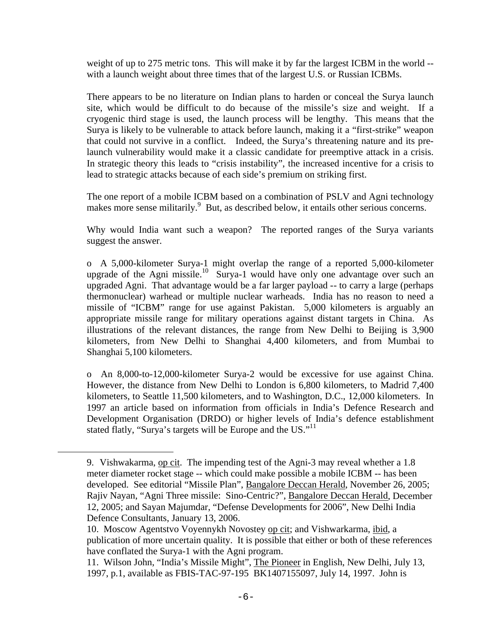weight of up to 275 metric tons. This will make it by far the largest ICBM in the world - with a launch weight about three times that of the largest U.S. or Russian ICBMs.

There appears to be no literature on Indian plans to harden or conceal the Surya launch site, which would be difficult to do because of the missile's size and weight. If a cryogenic third stage is used, the launch process will be lengthy. This means that the Surya is likely to be vulnerable to attack before launch, making it a "first-strike" weapon that could not survive in a conflict. Indeed, the Surya's threatening nature and its prelaunch vulnerability would make it a classic candidate for preemptive attack in a crisis. In strategic theory this leads to "crisis instability", the increased incentive for a crisis to lead to strategic attacks because of each side's premium on striking first.

The one report of a mobile ICBM based on a combination of PSLV and Agni technology makes more sense militarily.<sup>9</sup> But, as described below, it entails other serious concerns.

Why would India want such a weapon? The reported ranges of the Surya variants suggest the answer.

o A 5,000-kilometer Surya-1 might overlap the range of a reported 5,000-kilometer upgrade of the Agni missile.<sup>10</sup> Surya-1 would have only one advantage over such an upgraded Agni. That advantage would be a far larger payload -- to carry a large (perhaps thermonuclear) warhead or multiple nuclear warheads. India has no reason to need a missile of "ICBM" range for use against Pakistan. 5,000 kilometers is arguably an appropriate missile range for military operations against distant targets in China. As illustrations of the relevant distances, the range from New Delhi to Beijing is 3,900 kilometers, from New Delhi to Shanghai 4,400 kilometers, and from Mumbai to Shanghai 5,100 kilometers.

o An 8,000-to-12,000-kilometer Surya-2 would be excessive for use against China. However, the distance from New Delhi to London is 6,800 kilometers, to Madrid 7,400 kilometers, to Seattle 11,500 kilometers, and to Washington, D.C., 12,000 kilometers. In 1997 an article based on information from officials in India's Defence Research and Development Organisation (DRDO) or higher levels of India's defence establishment stated flatly, "Surya's targets will be Europe and the US."<sup>11</sup>

<sup>9.</sup> Vishwakarma, op cit. The impending test of the Agni-3 may reveal whether a 1.8 meter diameter rocket stage -- which could make possible a mobile ICBM -- has been developed. See editorial "Missile Plan", Bangalore Deccan Herald, November 26, 2005; Rajiv Nayan, "Agni Three missile: Sino-Centric?", Bangalore Deccan Herald, December 12, 2005; and Sayan Majumdar, "Defense Developments for 2006", New Delhi India Defence Consultants, January 13, 2006.

<sup>10.</sup> Moscow Agentstvo Voyennykh Novostey op cit; and Vishwarkarma, ibid, a publication of more uncertain quality. It is possible that either or both of these references have conflated the Surya-1 with the Agni program.

<sup>11.</sup> Wilson John, "India's Missile Might", The Pioneer in English, New Delhi, July 13, 1997, p.1, available as FBIS-TAC-97-195 BK1407155097, July 14, 1997. John is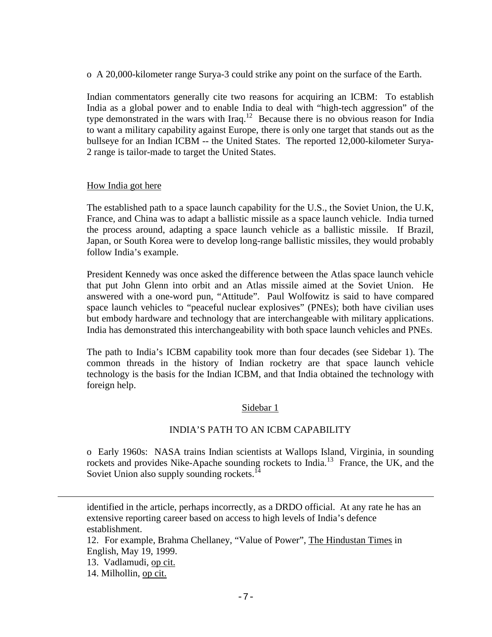o A 20,000-kilometer range Surya-3 could strike any point on the surface of the Earth.

Indian commentators generally cite two reasons for acquiring an ICBM: To establish India as a global power and to enable India to deal with "high-tech aggression" of the type demonstrated in the wars with Iraq.<sup>12</sup> Because there is no obvious reason for India to want a military capability against Europe, there is only one target that stands out as the bullseye for an Indian ICBM -- the United States. The reported 12,000-kilometer Surya-2 range is tailor-made to target the United States.

## How India got here

The established path to a space launch capability for the U.S., the Soviet Union, the U.K, France, and China was to adapt a ballistic missile as a space launch vehicle. India turned the process around, adapting a space launch vehicle as a ballistic missile. If Brazil, Japan, or South Korea were to develop long-range ballistic missiles, they would probably follow India's example.

President Kennedy was once asked the difference between the Atlas space launch vehicle that put John Glenn into orbit and an Atlas missile aimed at the Soviet Union. He answered with a one-word pun, "Attitude". Paul Wolfowitz is said to have compared space launch vehicles to "peaceful nuclear explosives" (PNEs); both have civilian uses but embody hardware and technology that are interchangeable with military applications. India has demonstrated this interchangeability with both space launch vehicles and PNEs.

The path to India's ICBM capability took more than four decades (see Sidebar 1). The common threads in the history of Indian rocketry are that space launch vehicle technology is the basis for the Indian ICBM, and that India obtained the technology with foreign help.

## Sidebar 1

## INDIA'S PATH TO AN ICBM CAPABILITY

o Early 1960s: NASA trains Indian scientists at Wallops Island, Virginia, in sounding rockets and provides Nike-Apache sounding rockets to India.<sup>13</sup> France, the UK, and the Soviet Union also supply sounding rockets.<sup>14</sup>

identified in the article, perhaps incorrectly, as a DRDO official. At any rate he has an extensive reporting career based on access to high levels of India's defence establishment.

12. For example, Brahma Chellaney, "Value of Power", The Hindustan Times in English, May 19, 1999.

13. Vadlamudi, op cit.

14. Milhollin, op cit.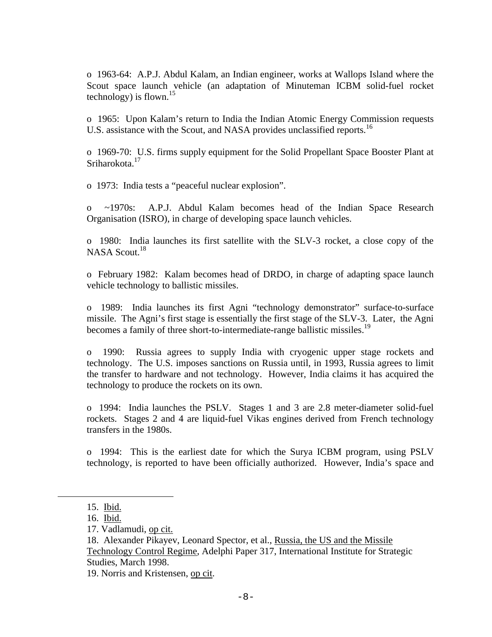o 1963-64: A.P.J. Abdul Kalam, an Indian engineer, works at Wallops Island where the Scout space launch vehicle (an adaptation of Minuteman ICBM solid-fuel rocket technology) is flown. $15$ 

o 1965: Upon Kalam's return to India the Indian Atomic Energy Commission requests U.S. assistance with the Scout, and NASA provides unclassified reports.<sup>16</sup>

o 1969-70: U.S. firms supply equipment for the Solid Propellant Space Booster Plant at Sriharokota.<sup>17</sup>

o 1973: India tests a "peaceful nuclear explosion".

o ~1970s: A.P.J. Abdul Kalam becomes head of the Indian Space Research Organisation (ISRO), in charge of developing space launch vehicles.

o 1980: India launches its first satellite with the SLV-3 rocket, a close copy of the NASA Scout.<sup>18</sup>

o February 1982: Kalam becomes head of DRDO, in charge of adapting space launch vehicle technology to ballistic missiles.

o 1989: India launches its first Agni "technology demonstrator" surface-to-surface missile. The Agni's first stage is essentially the first stage of the SLV-3. Later, the Agni becomes a family of three short-to-intermediate-range ballistic missiles.<sup>19</sup>

o 1990: Russia agrees to supply India with cryogenic upper stage rockets and technology. The U.S. imposes sanctions on Russia until, in 1993, Russia agrees to limit the transfer to hardware and not technology. However, India claims it has acquired the technology to produce the rockets on its own.

o 1994: India launches the PSLV. Stages 1 and 3 are 2.8 meter-diameter solid-fuel rockets. Stages 2 and 4 are liquid-fuel Vikas engines derived from French technology transfers in the 1980s.

o 1994: This is the earliest date for which the Surya ICBM program, using PSLV technology, is reported to have been officially authorized. However, India's space and

i<br>Li

19. Norris and Kristensen, op cit.

<sup>15.</sup> Ibid.

<sup>16.</sup> Ibid.

<sup>17.</sup> Vadlamudi, op cit.

<sup>18.</sup> Alexander Pikayev, Leonard Spector, et al., Russia, the US and the Missile Technology Control Regime, Adelphi Paper 317, International Institute for Strategic Studies, March 1998.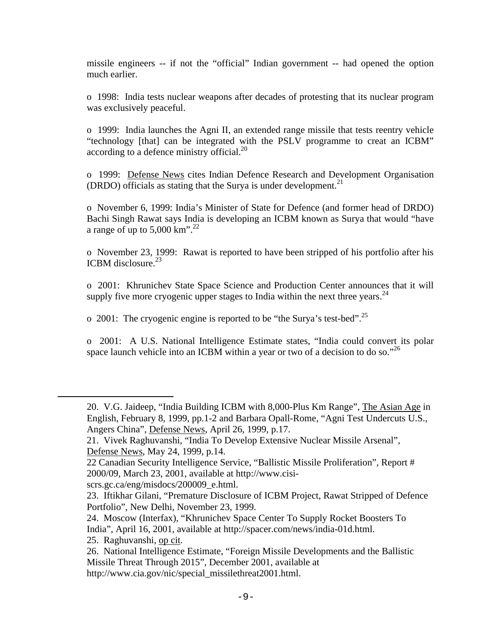missile engineers -- if not the "official" Indian government -- had opened the option much earlier.

o 1998: India tests nuclear weapons after decades of protesting that its nuclear program was exclusively peaceful.

o 1999: India launches the Agni II, an extended range missile that tests reentry vehicle "technology [that] can be integrated with the PSLV programme to creat an ICBM" according to a defence ministry official. $^{20}$ 

o 1999: Defense News cites Indian Defence Research and Development Organisation (DRDO) officials as stating that the Surya is under development.<sup>21</sup>

o November 6, 1999: India's Minister of State for Defence (and former head of DRDO) Bachi Singh Rawat says India is developing an ICBM known as Surya that would "have a range of up to  $5,000 \text{ km}^{3}$ .<sup>22</sup>

o November 23, 1999: Rawat is reported to have been stripped of his portfolio after his ICBM disclosure. $^{23}$ 

o 2001: Khrunichev State Space Science and Production Center announces that it will supply five more cryogenic upper stages to India within the next three years.  $^{24}$ 

o 2001: The cryogenic engine is reported to be "the Surya's test-bed".25

o 2001: A U.S. National Intelligence Estimate states, "India could convert its polar space launch vehicle into an ICBM within a year or two of a decision to do so."<sup>26</sup>

scrs.gc.ca/eng/misdocs/200009\_e.html.

<sup>20.</sup> V.G. Jaideep, "India Building ICBM with 8,000-Plus Km Range", The Asian Age in English, February 8, 1999, pp.1-2 and Barbara Opall-Rome, "Agni Test Undercuts U.S., Angers China", Defense News, April 26, 1999, p.17.

<sup>21.</sup> Vivek Raghuvanshi, "India To Develop Extensive Nuclear Missile Arsenal", Defense News, May 24, 1999, p.14.

<sup>22</sup> Canadian Security Intelligence Service, "Ballistic Missile Proliferation", Report # 2000/09, March 23, 2001, available at http://www.cisi-

<sup>23.</sup> Iftikhar Gilani, "Premature Disclosure of ICBM Project, Rawat Stripped of Defence Portfolio", New Delhi, November 23, 1999.

<sup>24.</sup> Moscow (Interfax), "Khrunichev Space Center To Supply Rocket Boosters To India", April 16, 2001, available at http://spacer.com/news/india-01d.html. 25. Raghuvanshi, op cit.

<sup>26.</sup> National Intelligence Estimate, "Foreign Missile Developments and the Ballistic Missile Threat Through 2015", December 2001, available at http://www.cia.gov/nic/special\_missilethreat2001.html.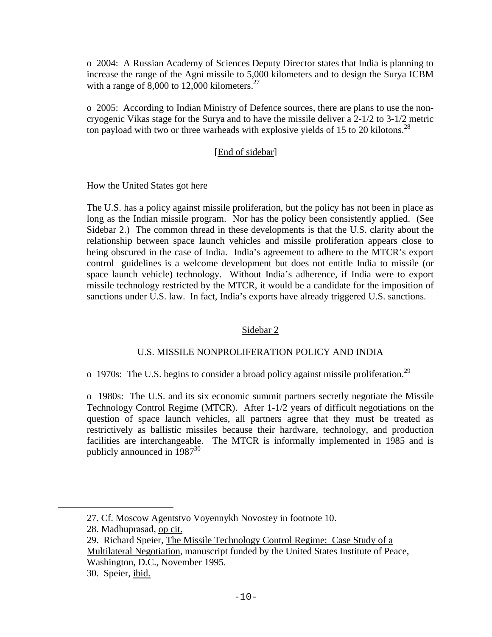o 2004: A Russian Academy of Sciences Deputy Director states that India is planning to increase the range of the Agni missile to 5,000 kilometers and to design the Surya ICBM with a range of 8,000 to 12,000 kilometers. $27$ 

o 2005: According to Indian Ministry of Defence sources, there are plans to use the noncryogenic Vikas stage for the Surya and to have the missile deliver a 2-1/2 to 3-1/2 metric ton payload with two or three warheads with explosive yields of 15 to 20 kilotons.<sup>28</sup>

# [End of sidebar]

# How the United States got here

The U.S. has a policy against missile proliferation, but the policy has not been in place as long as the Indian missile program. Nor has the policy been consistently applied. (See Sidebar 2.) The common thread in these developments is that the U.S. clarity about the relationship between space launch vehicles and missile proliferation appears close to being obscured in the case of India. India's agreement to adhere to the MTCR's export control guidelines is a welcome development but does not entitle India to missile (or space launch vehicle) technology. Without India's adherence, if India were to export missile technology restricted by the MTCR, it would be a candidate for the imposition of sanctions under U.S. law. In fact, India's exports have already triggered U.S. sanctions.

# Sidebar 2

# U.S. MISSILE NONPROLIFERATION POLICY AND INDIA

o 1970s: The U.S. begins to consider a broad policy against missile proliferation.<sup>29</sup>

o 1980s: The U.S. and its six economic summit partners secretly negotiate the Missile Technology Control Regime (MTCR). After 1-1/2 years of difficult negotiations on the question of space launch vehicles, all partners agree that they must be treated as restrictively as ballistic missiles because their hardware, technology, and production facilities are interchangeable. The MTCR is informally implemented in 1985 and is publicly announced in  $1987^{30}$ 

<sup>27.</sup> Cf. Moscow Agentstvo Voyennykh Novostey in footnote 10.

<sup>28.</sup> Madhuprasad, op cit.

<sup>29.</sup> Richard Speier, The Missile Technology Control Regime: Case Study of a Multilateral Negotiation, manuscript funded by the United States Institute of Peace, Washington, D.C., November 1995.

<sup>30.</sup> Speier, ibid.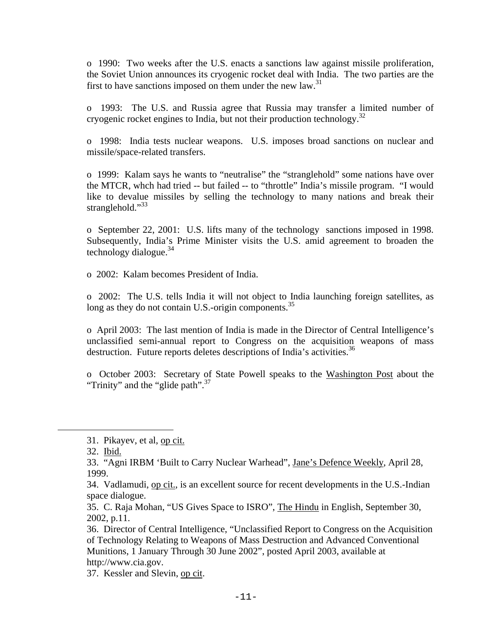o 1990: Two weeks after the U.S. enacts a sanctions law against missile proliferation, the Soviet Union announces its cryogenic rocket deal with India. The two parties are the first to have sanctions imposed on them under the new law. $31$ 

o 1993: The U.S. and Russia agree that Russia may transfer a limited number of cryogenic rocket engines to India, but not their production technology.<sup>32</sup>

o 1998: India tests nuclear weapons. U.S. imposes broad sanctions on nuclear and missile/space-related transfers.

o 1999: Kalam says he wants to "neutralise" the "stranglehold" some nations have over the MTCR, whch had tried -- but failed -- to "throttle" India's missile program. "I would like to devalue missiles by selling the technology to many nations and break their stranglehold."<sup>33</sup>

o September 22, 2001: U.S. lifts many of the technology sanctions imposed in 1998. Subsequently, India's Prime Minister visits the U.S. amid agreement to broaden the technology dialogue. $34$ 

o 2002: Kalam becomes President of India.

o 2002: The U.S. tells India it will not object to India launching foreign satellites, as long as they do not contain U.S.-origin components. $35$ 

o April 2003: The last mention of India is made in the Director of Central Intelligence's unclassified semi-annual report to Congress on the acquisition weapons of mass destruction. Future reports deletes descriptions of India's activities.<sup>36</sup>

o October 2003: Secretary of State Powell speaks to the Washington Post about the "Trinity" and the "glide path".  $37$ 

<sup>31.</sup> Pikayev, et al, op cit.

<sup>32.</sup> Ibid.

<sup>33. &</sup>quot;Agni IRBM 'Built to Carry Nuclear Warhead", Jane's Defence Weekly, April 28, 1999.

<sup>34.</sup> Vadlamudi, op cit., is an excellent source for recent developments in the U.S.-Indian space dialogue.

<sup>35.</sup> C. Raja Mohan, "US Gives Space to ISRO", The Hindu in English, September 30, 2002, p.11.

<sup>36.</sup> Director of Central Intelligence, "Unclassified Report to Congress on the Acquisition of Technology Relating to Weapons of Mass Destruction and Advanced Conventional Munitions, 1 January Through 30 June 2002", posted April 2003, available at http://www.cia.gov.

<sup>37.</sup> Kessler and Slevin, op cit.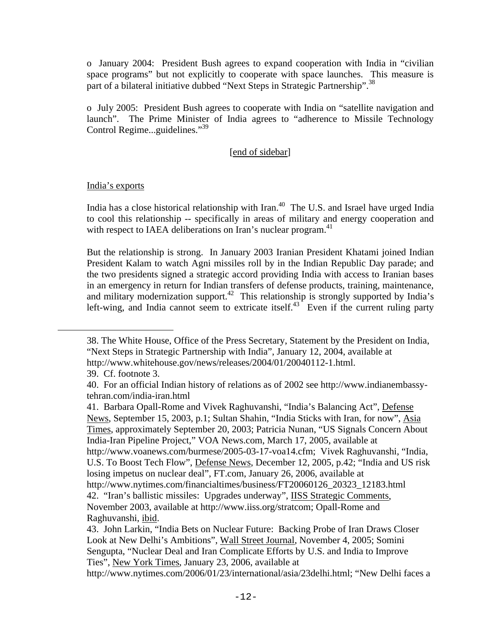o January 2004: President Bush agrees to expand cooperation with India in "civilian space programs" but not explicitly to cooperate with space launches. This measure is part of a bilateral initiative dubbed "Next Steps in Strategic Partnership".<sup>38</sup>

o July 2005: President Bush agrees to cooperate with India on "satellite navigation and launch". The Prime Minister of India agrees to "adherence to Missile Technology Control Regime...guidelines."39

## [end of sidebar]

## India's exports

India has a close historical relationship with Iran.<sup>40</sup> The U.S. and Israel have urged India to cool this relationship -- specifically in areas of military and energy cooperation and with respect to IAEA deliberations on Iran's nuclear program.<sup>41</sup>

But the relationship is strong. In January 2003 Iranian President Khatami joined Indian President Kalam to watch Agni missiles roll by in the Indian Republic Day parade; and the two presidents signed a strategic accord providing India with access to Iranian bases in an emergency in return for Indian transfers of defense products, training, maintenance, and military modernization support.<sup>42</sup> This relationship is strongly supported by India's left-wing, and India cannot seem to extricate itself.<sup>43</sup> Even if the current ruling party

<sup>38.</sup> The White House, Office of the Press Secretary, Statement by the President on India, "Next Steps in Strategic Partnership with India", January 12, 2004, available at http://www.whitehouse.gov/news/releases/2004/01/20040112-1.html.

<sup>39.</sup> Cf. footnote 3.

<sup>40.</sup> For an official Indian history of relations as of 2002 see http://www.indianembassytehran.com/india-iran.html

<sup>41.</sup> Barbara Opall-Rome and Vivek Raghuvanshi, "India's Balancing Act", Defense News, September 15, 2003, p.1; Sultan Shahin, "India Sticks with Iran, for now", Asia Times, approximately September 20, 2003; Patricia Nunan, "US Signals Concern About India-Iran Pipeline Project," VOA News.com, March 17, 2005, available at http://www.voanews.com/burmese/2005-03-17-voa14.cfm; Vivek Raghuvanshi, "India, U.S. To Boost Tech Flow", Defense News, December 12, 2005, p.42; "India and US risk losing impetus on nuclear deal", FT.com, January 26, 2006, available at http://www.nytimes.com/financialtimes/business/FT20060126\_20323\_12183.html 42. "Iran's ballistic missiles: Upgrades underway", IISS Strategic Comments, November 2003, available at http://www.iiss.org/stratcom; Opall-Rome and Raghuvanshi, ibid.

<sup>43.</sup> John Larkin, "India Bets on Nuclear Future: Backing Probe of Iran Draws Closer Look at New Delhi's Ambitions", Wall Street Journal, November 4, 2005; Somini Sengupta, "Nuclear Deal and Iran Complicate Efforts by U.S. and India to Improve Ties", New York Times, January 23, 2006, available at

http://www.nytimes.com/2006/01/23/international/asia/23delhi.html; "New Delhi faces a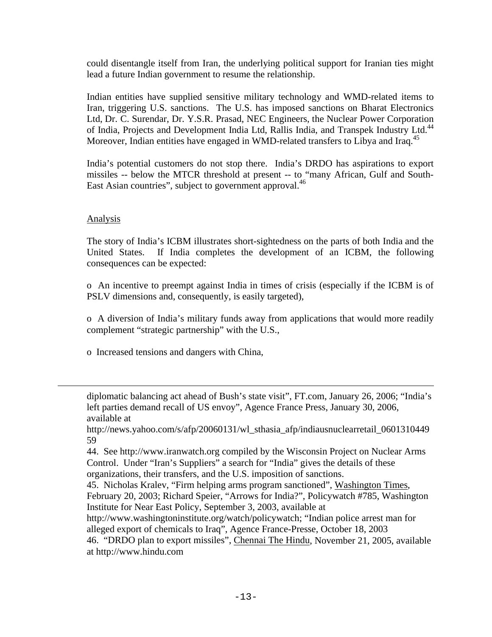could disentangle itself from Iran, the underlying political support for Iranian ties might lead a future Indian government to resume the relationship.

Indian entities have supplied sensitive military technology and WMD-related items to Iran, triggering U.S. sanctions. The U.S. has imposed sanctions on Bharat Electronics Ltd, Dr. C. Surendar, Dr. Y.S.R. Prasad, NEC Engineers, the Nuclear Power Corporation of India, Projects and Development India Ltd, Rallis India, and Transpek Industry Ltd.<sup>44</sup> Moreover, Indian entities have engaged in WMD-related transfers to Libya and Iraq.<sup>45</sup>

India's potential customers do not stop there. India's DRDO has aspirations to export missiles -- below the MTCR threshold at present -- to "many African, Gulf and South-East Asian countries", subject to government approval.<sup>46</sup>

# **Analysis**

i

The story of India's ICBM illustrates short-sightedness on the parts of both India and the United States. If India completes the development of an ICBM, the following consequences can be expected:

o An incentive to preempt against India in times of crisis (especially if the ICBM is of PSLV dimensions and, consequently, is easily targeted),

o A diversion of India's military funds away from applications that would more readily complement "strategic partnership" with the U.S.,

o Increased tensions and dangers with China,

diplomatic balancing act ahead of Bush's state visit", FT.com, January 26, 2006; "India's left parties demand recall of US envoy", Agence France Press, January 30, 2006, available at

http://news.yahoo.com/s/afp/20060131/wl\_sthasia\_afp/indiausnuclearretail\_0601310449 59

44. See http://www.iranwatch.org compiled by the Wisconsin Project on Nuclear Arms Control. Under "Iran's Suppliers" a search for "India" gives the details of these organizations, their transfers, and the U.S. imposition of sanctions.

- 45. Nicholas Kralev, "Firm helping arms program sanctioned", Washington Times, February 20, 2003; Richard Speier, "Arrows for India?", Policywatch #785, Washington Institute for Near East Policy, September 3, 2003, available at
- http://www.washingtoninstitute.org/watch/policywatch; "Indian police arrest man for alleged export of chemicals to Iraq", Agence France-Presse, October 18, 2003

46. "DRDO plan to export missiles", Chennai The Hindu, November 21, 2005, available at http://www.hindu.com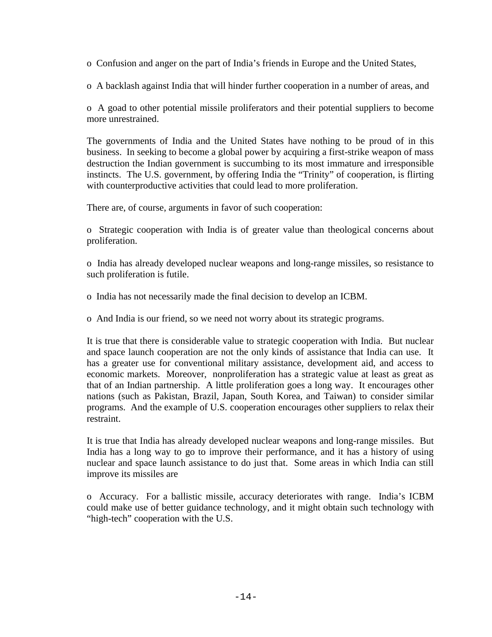o Confusion and anger on the part of India's friends in Europe and the United States,

o A backlash against India that will hinder further cooperation in a number of areas, and

o A goad to other potential missile proliferators and their potential suppliers to become more unrestrained.

The governments of India and the United States have nothing to be proud of in this business. In seeking to become a global power by acquiring a first-strike weapon of mass destruction the Indian government is succumbing to its most immature and irresponsible instincts. The U.S. government, by offering India the "Trinity" of cooperation, is flirting with counterproductive activities that could lead to more proliferation.

There are, of course, arguments in favor of such cooperation:

o Strategic cooperation with India is of greater value than theological concerns about proliferation.

o India has already developed nuclear weapons and long-range missiles, so resistance to such proliferation is futile.

o India has not necessarily made the final decision to develop an ICBM.

o And India is our friend, so we need not worry about its strategic programs.

It is true that there is considerable value to strategic cooperation with India. But nuclear and space launch cooperation are not the only kinds of assistance that India can use. It has a greater use for conventional military assistance, development aid, and access to economic markets. Moreover, nonproliferation has a strategic value at least as great as that of an Indian partnership. A little proliferation goes a long way. It encourages other nations (such as Pakistan, Brazil, Japan, South Korea, and Taiwan) to consider similar programs. And the example of U.S. cooperation encourages other suppliers to relax their restraint.

It is true that India has already developed nuclear weapons and long-range missiles. But India has a long way to go to improve their performance, and it has a history of using nuclear and space launch assistance to do just that. Some areas in which India can still improve its missiles are

o Accuracy. For a ballistic missile, accuracy deteriorates with range. India's ICBM could make use of better guidance technology, and it might obtain such technology with "high-tech" cooperation with the U.S.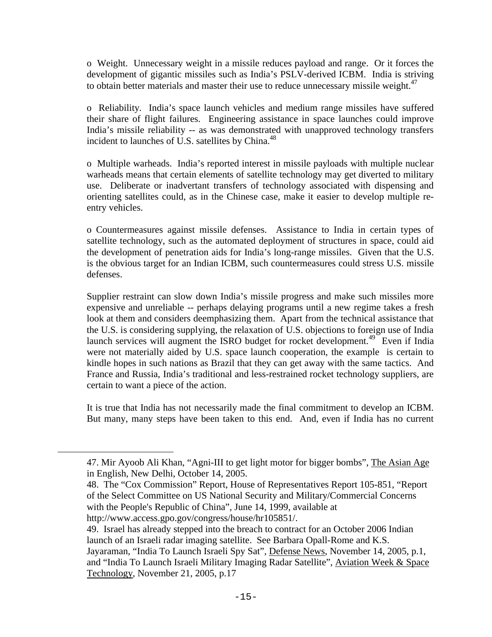o Weight. Unnecessary weight in a missile reduces payload and range. Or it forces the development of gigantic missiles such as India's PSLV-derived ICBM. India is striving to obtain better materials and master their use to reduce unnecessary missile weight. $47$ 

o Reliability. India's space launch vehicles and medium range missiles have suffered their share of flight failures. Engineering assistance in space launches could improve India's missile reliability -- as was demonstrated with unapproved technology transfers incident to launches of U.S. satellites by China.<sup>48</sup>

o Multiple warheads. India's reported interest in missile payloads with multiple nuclear warheads means that certain elements of satellite technology may get diverted to military use. Deliberate or inadvertant transfers of technology associated with dispensing and orienting satellites could, as in the Chinese case, make it easier to develop multiple reentry vehicles.

o Countermeasures against missile defenses. Assistance to India in certain types of satellite technology, such as the automated deployment of structures in space, could aid the development of penetration aids for India's long-range missiles. Given that the U.S. is the obvious target for an Indian ICBM, such countermeasures could stress U.S. missile defenses.

Supplier restraint can slow down India's missile progress and make such missiles more expensive and unreliable -- perhaps delaying programs until a new regime takes a fresh look at them and considers deemphasizing them. Apart from the technical assistance that the U.S. is considering supplying, the relaxation of U.S. objections to foreign use of India launch services will augment the ISRO budget for rocket development.<sup>49</sup> Even if India were not materially aided by U.S. space launch cooperation, the example is certain to kindle hopes in such nations as Brazil that they can get away with the same tactics. And France and Russia, India's traditional and less-restrained rocket technology suppliers, are certain to want a piece of the action.

It is true that India has not necessarily made the final commitment to develop an ICBM. But many, many steps have been taken to this end. And, even if India has no current

<sup>47.</sup> Mir Ayoob Ali Khan, "Agni-III to get light motor for bigger bombs", The Asian Age in English, New Delhi, October 14, 2005.

<sup>48.</sup> The "Cox Commission" Report, House of Representatives Report 105-851, "Report of the Select Committee on US National Security and Military/Commercial Concerns with the People's Republic of China", June 14, 1999, available at

http://www.access.gpo.gov/congress/house/hr105851/.

<sup>49.</sup> Israel has already stepped into the breach to contract for an October 2006 Indian launch of an Israeli radar imaging satellite. See Barbara Opall-Rome and K.S. Jayaraman, "India To Launch Israeli Spy Sat", Defense News, November 14, 2005, p.1, and "India To Launch Israeli Military Imaging Radar Satellite", Aviation Week & Space Technology, November 21, 2005, p.17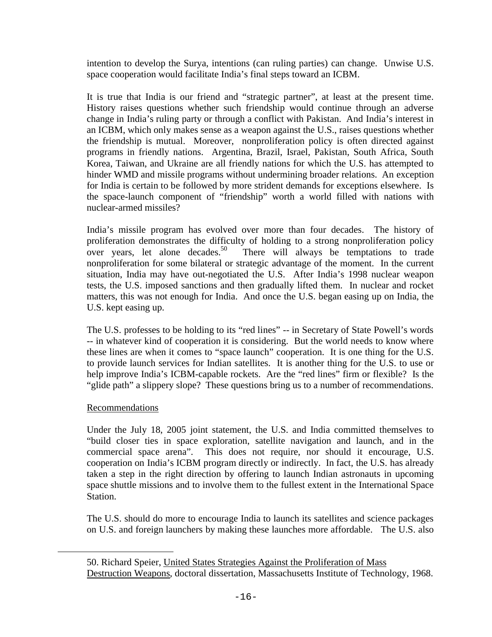intention to develop the Surya, intentions (can ruling parties) can change. Unwise U.S. space cooperation would facilitate India's final steps toward an ICBM.

It is true that India is our friend and "strategic partner", at least at the present time. History raises questions whether such friendship would continue through an adverse change in India's ruling party or through a conflict with Pakistan. And India's interest in an ICBM, which only makes sense as a weapon against the U.S., raises questions whether the friendship is mutual. Moreover, nonproliferation policy is often directed against programs in friendly nations. Argentina, Brazil, Israel, Pakistan, South Africa, South Korea, Taiwan, and Ukraine are all friendly nations for which the U.S. has attempted to hinder WMD and missile programs without undermining broader relations. An exception for India is certain to be followed by more strident demands for exceptions elsewhere. Is the space-launch component of "friendship" worth a world filled with nations with nuclear-armed missiles?

India's missile program has evolved over more than four decades. The history of proliferation demonstrates the difficulty of holding to a strong nonproliferation policy<br>over years, let alone decades.<sup>50</sup> There will always be temptations to trade There will always be temptations to trade nonproliferation for some bilateral or strategic advantage of the moment. In the current situation, India may have out-negotiated the U.S. After India's 1998 nuclear weapon tests, the U.S. imposed sanctions and then gradually lifted them. In nuclear and rocket matters, this was not enough for India. And once the U.S. began easing up on India, the U.S. kept easing up.

The U.S. professes to be holding to its "red lines" -- in Secretary of State Powell's words -- in whatever kind of cooperation it is considering. But the world needs to know where these lines are when it comes to "space launch" cooperation. It is one thing for the U.S. to provide launch services for Indian satellites. It is another thing for the U.S. to use or help improve India's ICBM-capable rockets. Are the "red lines" firm or flexible? Is the "glide path" a slippery slope? These questions bring us to a number of recommendations.

# Recommendations

i<br>Li

Under the July 18, 2005 joint statement, the U.S. and India committed themselves to "build closer ties in space exploration, satellite navigation and launch, and in the commercial space arena". This does not require, nor should it encourage, U.S. cooperation on India's ICBM program directly or indirectly. In fact, the U.S. has already taken a step in the right direction by offering to launch Indian astronauts in upcoming space shuttle missions and to involve them to the fullest extent in the International Space Station.

The U.S. should do more to encourage India to launch its satellites and science packages on U.S. and foreign launchers by making these launches more affordable. The U.S. also

<sup>50.</sup> Richard Speier, United States Strategies Against the Proliferation of Mass Destruction Weapons, doctoral dissertation, Massachusetts Institute of Technology, 1968.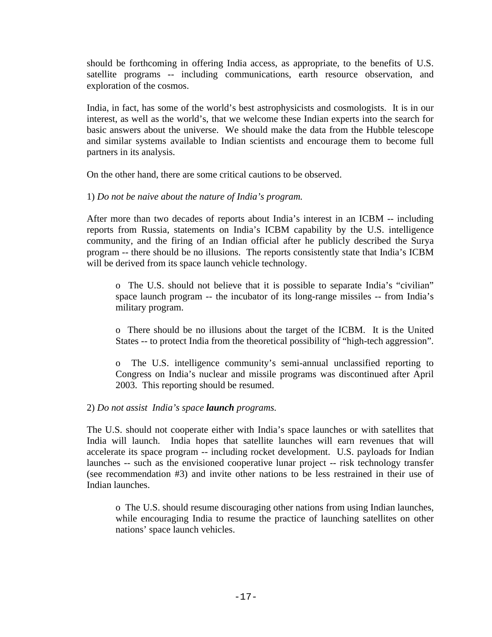should be forthcoming in offering India access, as appropriate, to the benefits of U.S. satellite programs -- including communications, earth resource observation, and exploration of the cosmos.

India, in fact, has some of the world's best astrophysicists and cosmologists. It is in our interest, as well as the world's, that we welcome these Indian experts into the search for basic answers about the universe. We should make the data from the Hubble telescope and similar systems available to Indian scientists and encourage them to become full partners in its analysis.

On the other hand, there are some critical cautions to be observed.

# 1) *Do not be naive about the nature of India's program.*

After more than two decades of reports about India's interest in an ICBM -- including reports from Russia, statements on India's ICBM capability by the U.S. intelligence community, and the firing of an Indian official after he publicly described the Surya program -- there should be no illusions. The reports consistently state that India's ICBM will be derived from its space launch vehicle technology.

o The U.S. should not believe that it is possible to separate India's "civilian" space launch program -- the incubator of its long-range missiles -- from India's military program.

o There should be no illusions about the target of the ICBM. It is the United States -- to protect India from the theoretical possibility of "high-tech aggression".

o The U.S. intelligence community's semi-annual unclassified reporting to Congress on India's nuclear and missile programs was discontinued after April 2003. This reporting should be resumed.

# 2) *Do not assist India's space launch programs.*

The U.S. should not cooperate either with India's space launches or with satellites that India will launch. India hopes that satellite launches will earn revenues that will accelerate its space program -- including rocket development. U.S. payloads for Indian launches -- such as the envisioned cooperative lunar project -- risk technology transfer (see recommendation #3) and invite other nations to be less restrained in their use of Indian launches.

o The U.S. should resume discouraging other nations from using Indian launches, while encouraging India to resume the practice of launching satellites on other nations' space launch vehicles.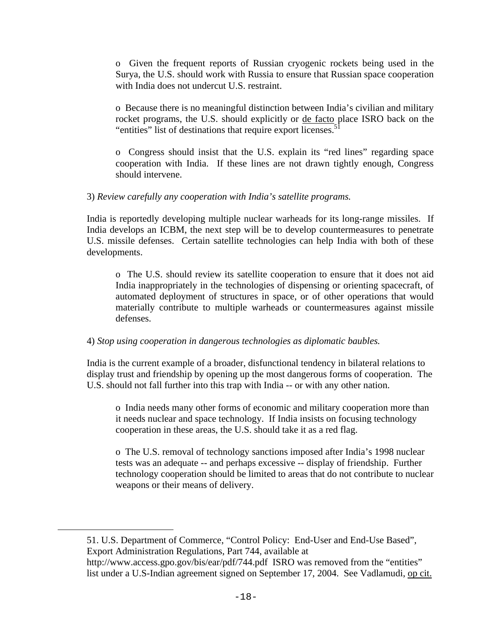o Given the frequent reports of Russian cryogenic rockets being used in the Surya, the U.S. should work with Russia to ensure that Russian space cooperation with India does not undercut U.S. restraint.

o Because there is no meaningful distinction between India's civilian and military rocket programs, the U.S. should explicitly or de facto place ISRO back on the "entities" list of destinations that require export licenses.<sup>5</sup>

o Congress should insist that the U.S. explain its "red lines" regarding space cooperation with India. If these lines are not drawn tightly enough, Congress should intervene.

## 3) *Review carefully any cooperation with India's satellite programs.*

India is reportedly developing multiple nuclear warheads for its long-range missiles. If India develops an ICBM, the next step will be to develop countermeasures to penetrate U.S. missile defenses. Certain satellite technologies can help India with both of these developments.

o The U.S. should review its satellite cooperation to ensure that it does not aid India inappropriately in the technologies of dispensing or orienting spacecraft, of automated deployment of structures in space, or of other operations that would materially contribute to multiple warheads or countermeasures against missile defenses.

# 4) *Stop using cooperation in dangerous technologies as diplomatic baubles.*

India is the current example of a broader, disfunctional tendency in bilateral relations to display trust and friendship by opening up the most dangerous forms of cooperation. The U.S. should not fall further into this trap with India -- or with any other nation.

o India needs many other forms of economic and military cooperation more than it needs nuclear and space technology. If India insists on focusing technology cooperation in these areas, the U.S. should take it as a red flag.

o The U.S. removal of technology sanctions imposed after India's 1998 nuclear tests was an adequate -- and perhaps excessive -- display of friendship. Further technology cooperation should be limited to areas that do not contribute to nuclear weapons or their means of delivery.

i

<sup>51.</sup> U.S. Department of Commerce, "Control Policy: End-User and End-Use Based", Export Administration Regulations, Part 744, available at

http://www.access.gpo.gov/bis/ear/pdf/744.pdf ISRO was removed from the "entities" list under a U.S-Indian agreement signed on September 17, 2004. See Vadlamudi, op cit.